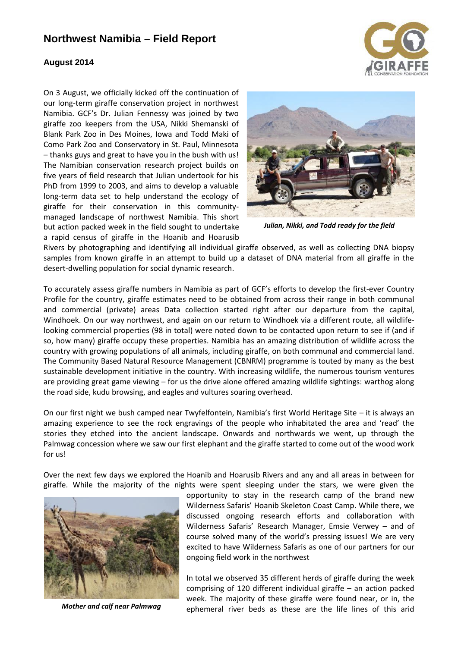## **Northwest Namibia – Field Report**

## **August 2014**

On 3 August, we officially kicked off the continuation of our long-term giraffe conservation project in northwest Namibia. GCF's Dr. Julian Fennessy was joined by two giraffe zoo keepers from the USA, Nikki Shemanski of Blank Park Zoo in Des Moines, Iowa and Todd Maki of Como Park Zoo and Conservatory in St. Paul, Minnesota – thanks guys and great to have you in the bush with us! The Namibian conservation research project builds on five years of field research that Julian undertook for his PhD from 1999 to 2003, and aims to develop a valuable long-term data set to help understand the ecology of giraffe for their conservation in this community managed landscape of northwest Namibia. This short but action packed week in the field sought to undertake a rapid census of giraffe in the Hoanib and Hoarusib



*Julian, Nikki, and Todd ready for the field*

Rivers by photographing and identifying all individual giraffe observed, as well as collecting DNA biopsy samples from known giraffe in an attempt to build up a dataset of DNA material from all giraffe in the desert-dwelling population for social dynamic research.

To accurately assess giraffe numbers in Namibia as part of GCF's efforts to develop the first-ever Country Profile for the country, giraffe estimates need to be obtained from across their range in both communal and commercial (private) areas Data collection started right after our departure from the capital, Windhoek. On our way northwest, and again on our return to Windhoek via a different route, all wildlifelooking commercial properties (98 in total) were noted down to be contacted upon return to see if (and if so, how many) giraffe occupy these properties. Namibia has an amazing distribution of wildlife across the country with growing populations of all animals, including giraffe, on both communal and commercial land. The Community Based Natural Resource Management (CBNRM) programme is touted by many as the best sustainable development initiative in the country. With increasing wildlife, the numerous tourism ventures are providing great game viewing – for us the drive alone offered amazing wildlife sightings: warthog along the road side, kudu browsing, and eagles and vultures soaring overhead.

On our first night we bush camped near Twyfelfontein, Namibia's first World Heritage Site – it is always an amazing experience to see the rock engravings of the people who inhabitated the area and 'read' the stories they etched into the ancient landscape. Onwards and northwards we went, up through the Palmwag concession where we saw our first elephant and the giraffe started to come out of the wood work for us!

Over the next few days we explored the Hoanib and Hoarusib Rivers and any and all areas in between for giraffe. While the majority of the nights were spent sleeping under the stars, we were given the



opportunity to stay in the research camp of the brand new Wilderness Safaris' Hoanib Skeleton Coast Camp. While there, we discussed ongoing research efforts and collaboration with Wilderness Safaris' Research Manager, Emsie Verwey – and of course solved many of the world's pressing issues! We are very excited to have Wilderness Safaris as one of our partners for our ongoing field work in the northwest

In total we observed 35 different herds of giraffe during the week comprising of 120 different individual giraffe – an action packed week. The majority of these giraffe were found near, or in, the *Mother and calf near Palmwag* ephemeral river beds as these are the life lines of this arid

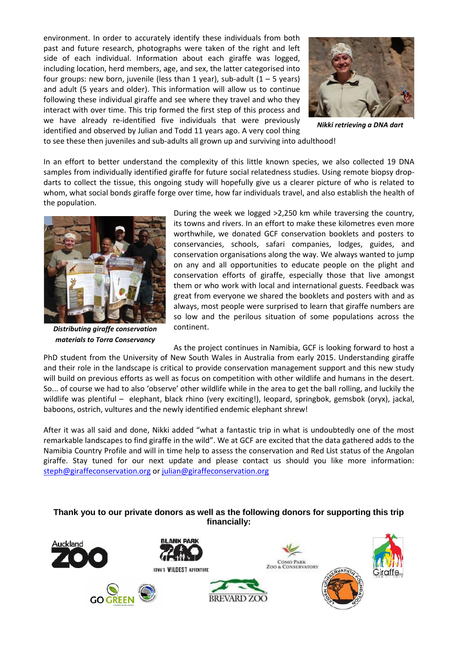environment. In order to accurately identify these individuals from both past and future research, photographs were taken of the right and left side of each individual. Information about each giraffe was logged, including location, herd members, age, and sex, the latter categorised into four groups: new born, juvenile (less than 1 year), sub-adult  $(1 – 5$  years) and adult (5 years and older). This information will allow us to continue following these individual giraffe and see where they travel and who they interact with over time. This trip formed the first step of this process and we have already re-identified five individuals that were previously identified and observed by Julian and Todd 11 years ago. A very cool thing Interact with over time. This trip formed the first step of this process and<br>
identified and observed by Julian and Todd 11 years ago. A very cool thing<br>
to see these then juveniles and sub-adults all grown up and survivin past and future research, photographs were taken of the r<br>side of each individual. Information about each giraffe<br>including location, herd members, age, and sex, the latter cat<br>four groups: new born, juvenile (less than 1



*Nikki retrieving a DNA dart*

to see these then juveniles and sub-adults all grown up and surviving into adulthood!

samples from individually identified giraffe for future social relatedness studies. Using remote biopsy drop darts to collect the tissue, this ongoing study will hopefully give us a clearer picture of who is related to whom, what social bonds giraffe forge over time, how far individuals travel, and also establish the health of the population. identified giraffe for future social relatedness studies. Using remote biopsy dreptions, this ongoing study will hopefully give us a clearer picture of who is related giraffe forge over time, how far individuals travel, an study



*Distributing giraffe conservation materials to Torra Conservancy*

During the week we logged >2,250 km while traversing the country, its towns and rivers. In an effort to make these kilometres even more worthwhile, we donated GCF conservation booklets and posters to conservancies, schools, safari companies, lodges, guides, and conservation organisations along the way. We always wanted to jump on any and all opportunities to educate people on the plight and worthwhile, we donated GCF conservation booklets and posters to conservancies, schools, safari companies, lodges, guides, and conservation organisations along the way. We always wanted to jump on any and all opportunities them or who work with local and international guests. Feedback was great from everyone we shared the booklets and posters with and as always, most people were surprised to learn that giraffe numbers are so low and the perilous situation of some populations across the continent. Thank you the method in the matter of the projection of the projection of the matternal trip and solven the matternal trip and trip and trip and trip and trip and trip and trip and trip and trip and trip and trip and trip

As the project continues in Namibia, GCF is looking forward to host a PhD student from the University of New South Wales in Australia from early 2015. Understanding giraffe and their role in the landscape is critical to provide conservation management support and this new study will build on previous efforts as well as focus on competition with other wildlife and humans in the desert. So... of course we had to also 'observe' other wildlife while in the area to get the ball rolling, and luckily the wildlife was plentiful - elephant, black rhino (very exciting!), leopard, springbok, gemsbok (oryx), jackal, baboons, ostrich, vultures and the newly identified endemic elephant shrew! wildlife was plentiful – elephant, black rhino (very exciting!), leopard, springbok, gemsbok (oryx), jackal,<br>baboons, ostrich, vultures and the newly identified endemic elephant shrew!<br>After it was all said and done, Nikki We them or who work with local and international guests. Feedback was<br>great from everyone we shared the booklets and posters with and as<br>always, most people were surprised to learn that giraffe numbers are<br>so low and the p

remarkable landscapes to find giraffe in the wild". We at GCF are excited that the data gathered adds to the<br>Namibia Country Profile and will in time help to assess the conservation and Red List status of the Angolan Namibia Country Profile and will in time help to assess the conservation and Red List status of the Angolan giraffe. Stay tuned for our next update and please contact us should you like more information:<br>steph@giraffeconservation.org or julian@giraffeconservation.org steph@giraffeconservation.org or julian@giraffeconservation.org

## **Thank you to our private donors as well as the following donors for supporting this trip financially:**